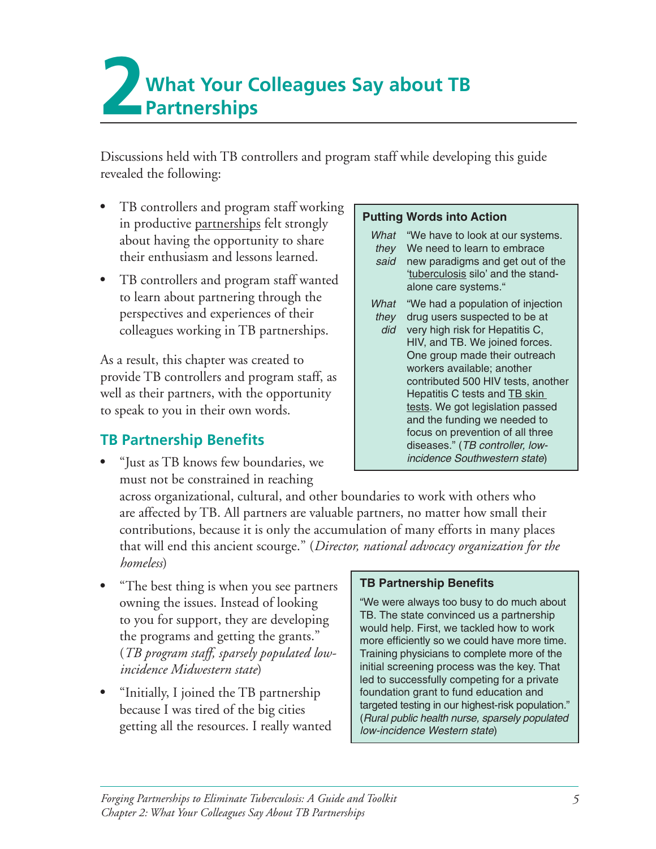# **2 What Your Colleagues Say about TB Partnerships**

Discussions held with TB controllers and program staff while developing this guide revealed the following:

- TB controllers and program staff working in productive partnerships felt strongly about having the opportunity to share their enthusiasm and lessons learned.
- TB controllers and program staff wanted to learn about partnering through the perspectives and experiences of their colleagues working in TB partnerships.

As a result, this chapter was created to provide TB controllers and program staff, as well as their partners, with the opportunity to speak to you in their own words.

## **TB Partnership Benefits**

"Just as TB knows few boundaries, we must not be constrained in reaching

#### **Putting Words into Action**

| What<br>they<br>said | "We have to look at our systems.<br>We need to learn to embrace<br>new paradigms and get out of the<br>'tuberculosis silo' and the stand-<br>alone care systems." |
|----------------------|-------------------------------------------------------------------------------------------------------------------------------------------------------------------|
| What                 | "We had a population of injection                                                                                                                                 |
| they                 | drug users suspected to be at                                                                                                                                     |
| did                  | very high risk for Hepatitis C,                                                                                                                                   |
|                      | HIV, and TB. We joined forces.                                                                                                                                    |
|                      | One group made their outreach                                                                                                                                     |
|                      | workers available; another                                                                                                                                        |
|                      | contributed 500 HIV tests, another                                                                                                                                |
|                      | Hepatitis C tests and <b>TB</b> skin                                                                                                                              |
|                      | tests. We got legislation passed                                                                                                                                  |
|                      | and the funding we needed to                                                                                                                                      |
|                      | focus on prevention of all three                                                                                                                                  |
|                      | diseases." (TB controller, low-                                                                                                                                   |
|                      | incidence Southwestern state)                                                                                                                                     |

across organizational, cultural, and other boundaries to work with others who are affected by TB. All partners are valuable partners, no matter how small their contributions, because it is only the accumulation of many efforts in many places that will end this ancient scourge." (*Director, national advocacy organization for the homeless*) 

- "The best thing is when you see partners owning the issues. Instead of looking to you for support, they are developing the programs and getting the grants." (*TB program staff, sparsely populated lowincidence Midwestern state*)
- "Initially, I joined the TB partnership because I was tired of the big cities getting all the resources. I really wanted

#### **TB Partnership Benefits**

 "We were always too busy to do much about more efficiently so we could have more time. Training physicians to complete more of the targeted testing in our highest-risk population."  (*Rural public health nurse, sparsely populated*  TB. The state convinced us a partnership would help. First, we tackled how to work initial screening process was the key. That led to successfully competing for a private foundation grant to fund education and *low-incidence Western state*)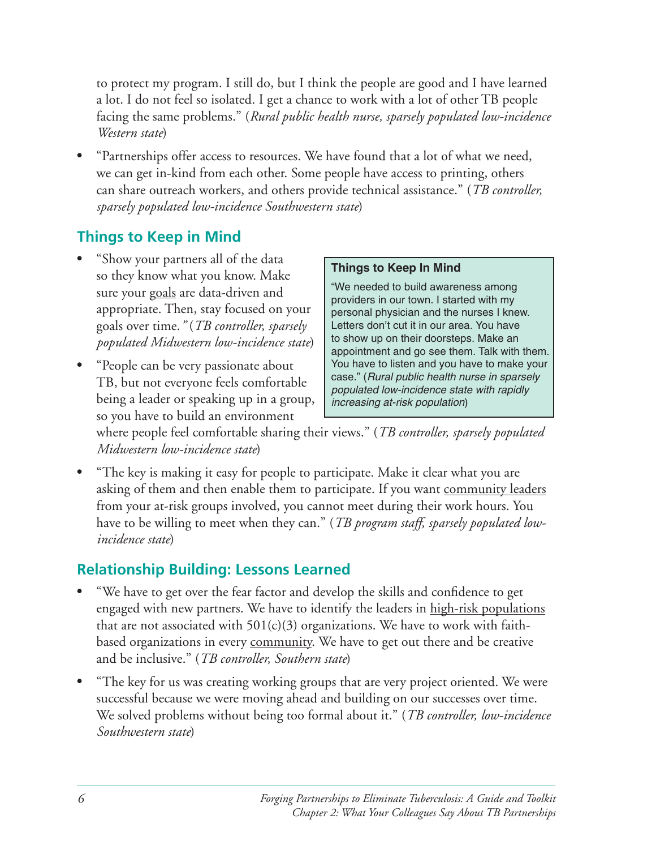to protect my program. I still do, but I think the people are good and I have learned a lot. I do not feel so isolated. I get a chance to work with a lot of other TB people facing the same problems." (*Rural public health nurse, sparsely populated low-incidence Western state*)

"Partnerships offer access to resources. We have found that a lot of what we need, we can get in-kind from each other. Some people have access to printing, others can share outreach workers, and others provide technical assistance." (*TB controller*, *sparsely populated low-incidence Southwestern state*) 

## **Things to Keep in Mind**

- "Show your partners all of the data so they know what you know. Make sure your goals are data-driven and appropriate. Then, stay focused on your goals over time.*"* (*TB controller, sparsely populated Midwestern low-incidence state*)
- "People can be very passionate about TB, but not everyone feels comfortable being a leader or speaking up in a group, so you have to build an environment

### **Things to Keep In Mind**

"We needed to build awareness among providers in our town. I started with my personal physician and the nurses I knew. Letters don't cut it in our area. You have to show up on their doorsteps. Make an appointment and go see them. Talk with them. You have to listen and you have to make your case." (*Rural public health nurse in sparsely populated low-incidence state with rapidly increasing at-risk population*)

where people feel comfortable sharing their views." (*TB controller, sparsely populated Midwestern low-incidence state*)

"The key is making it easy for people to participate. Make it clear what you are asking of them and then enable them to participate. If you want community leaders from your at-risk groups involved, you cannot meet during their work hours. You have to be willing to meet when they can." (*TB program staff, sparsely populated lowincidence state*) 

## **Relationship Building: Lessons Learned**

- **Figure 3** T We have to get over the fear factor and develop the skills and confidence to get engaged with new partners. We have to identify the leaders in high-risk populations that are not associated with  $501(c)(3)$  organizations. We have to work with faithbased organizations in every community. We have to get out there and be creative and be inclusive." (*TB controller, Southern state*)
- "The key for us was creating working groups that are very project oriented. We were successful because we were moving ahead and building on our successes over time. We solved problems without being too formal about it." (*TB controller, low-incidence Southwestern state*)